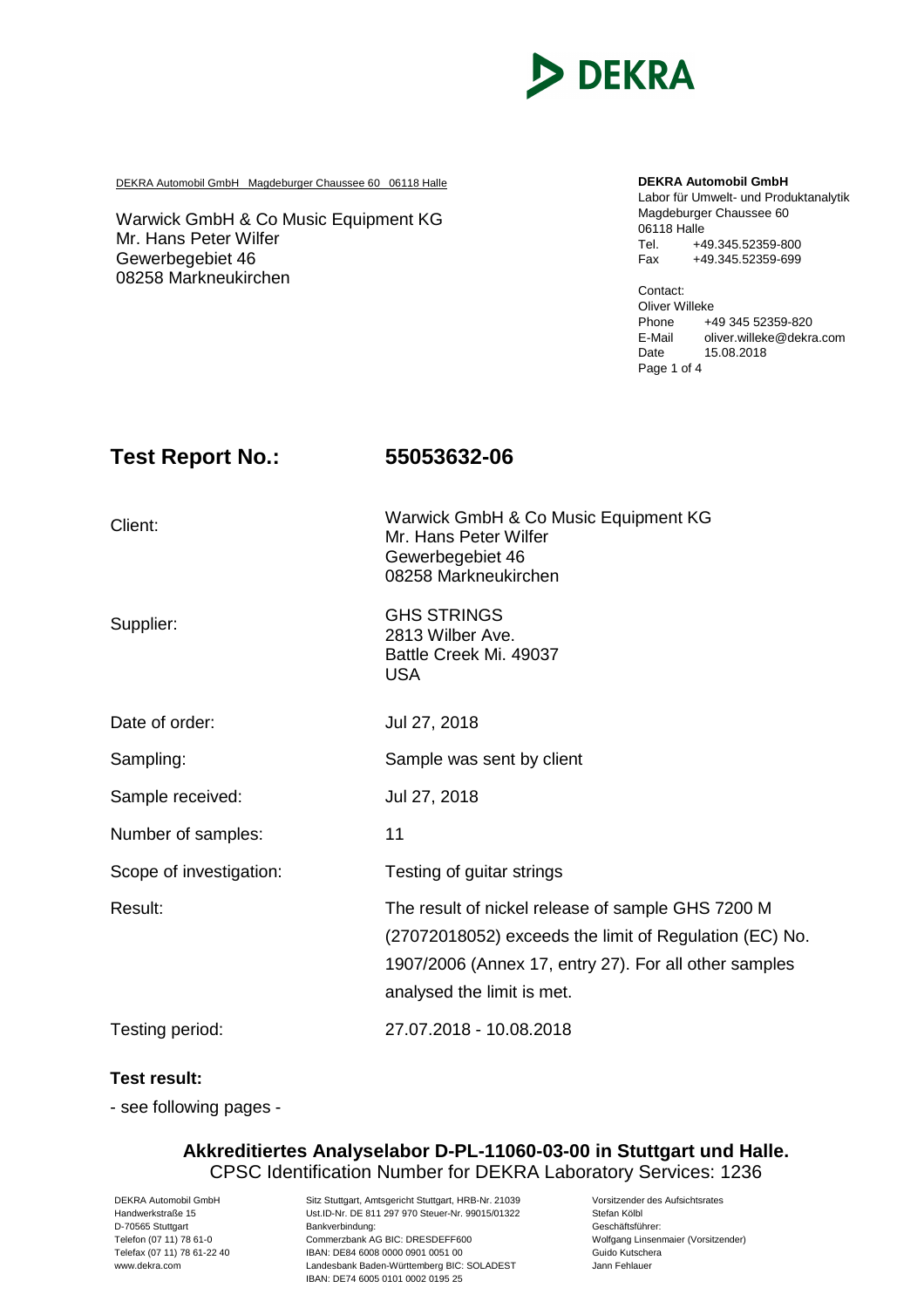

DEKRA Automobil GmbH Magdeburger Chaussee 60 06118 Halle **DEKRA Automobil GmbH** 

Warwick GmbH & Co Music Equipment KG Mr. Hans Peter Wilfer Gewerbegebiet 46 08258 Markneukirchen

Labor für Umwelt- und Produktanalytik Magdeburger Chaussee 60 06118 Halle Tel. +49.345.52359-800 Fax +49.345.52359-699

Contact: Oliver Willeke Phone  $+49$  345 52359-820<br>F-Mail oliver willeke@dekra oliver.willeke@dekra.com Date 15.08.2018 Page 1 of 4

### **Test Report No.: 55053632-06**

| Client:                 | Warwick GmbH & Co Music Equipment KG<br>Mr. Hans Peter Wilfer<br>Gewerbegebiet 46<br>08258 Markneukirchen                                                                                          |
|-------------------------|----------------------------------------------------------------------------------------------------------------------------------------------------------------------------------------------------|
| Supplier:               | <b>GHS STRINGS</b><br>2813 Wilber Ave.<br>Battle Creek Mi. 49037<br><b>USA</b>                                                                                                                     |
| Date of order:          | Jul 27, 2018                                                                                                                                                                                       |
| Sampling:               | Sample was sent by client                                                                                                                                                                          |
| Sample received:        | Jul 27, 2018                                                                                                                                                                                       |
| Number of samples:      | 11                                                                                                                                                                                                 |
| Scope of investigation: | Testing of guitar strings                                                                                                                                                                          |
| Result:                 | The result of nickel release of sample GHS 7200 M<br>(27072018052) exceeds the limit of Regulation (EC) No.<br>1907/2006 (Annex 17, entry 27). For all other samples<br>analysed the limit is met. |
| Testing period:         | 27.07.2018 - 10.08.2018                                                                                                                                                                            |

### **Test result:**

- see following pages -

### **Akkreditiertes Analyselabor D-PL-11060-03-00 in Stuttgart und Halle.** CPSC Identification Number for DEKRA Laboratory Services: 1236

DEKRA Automobil GmbH Sitz Stuttgart, Amtsgericht Stuttgart, HRB-Nr. 21039 Vorsitzender des Aufsichtsrates<br>Stefan Kölbl (Ust.ID-Nr. DE 811 297 970 Steuer-Nr. 99015/01322 Stefan Kölbl Ust.ID-Nr. DE 811 297 970 Steuer-Nr. 99015/01322 Stefan Kölbl<br>Bankverbindung: Ceschäftsführer: D-70565 Stuttgart **Bankverbindung:** Exercise of Bankverbindung:<br>Telefon (07 11) 78 61-0 Commerzbank AG BIC: DRESDEFF600 **Gancy Commerzbank AG BIC: DRESDEFF600** Wolfgang Linsenmaier (Vorsitzender) Telefon (07 11) 78 61-0 Commerzbank AG BIC: DRESDEFF600<br>Telefax (07 11) 78 61-22 40 IBAN: DE84 6008 0000 0901 0051 00 TEAN: DE84 6008 0000 0901 0051 00<br>
Landesbank Baden-Württemberg BIC: SOLADEST Mann Fehlauer www.dekra.com Landesbank Baden-Württemberg BIC: SOLADEST IBAN: DE74 6005 0101 0002 0195 25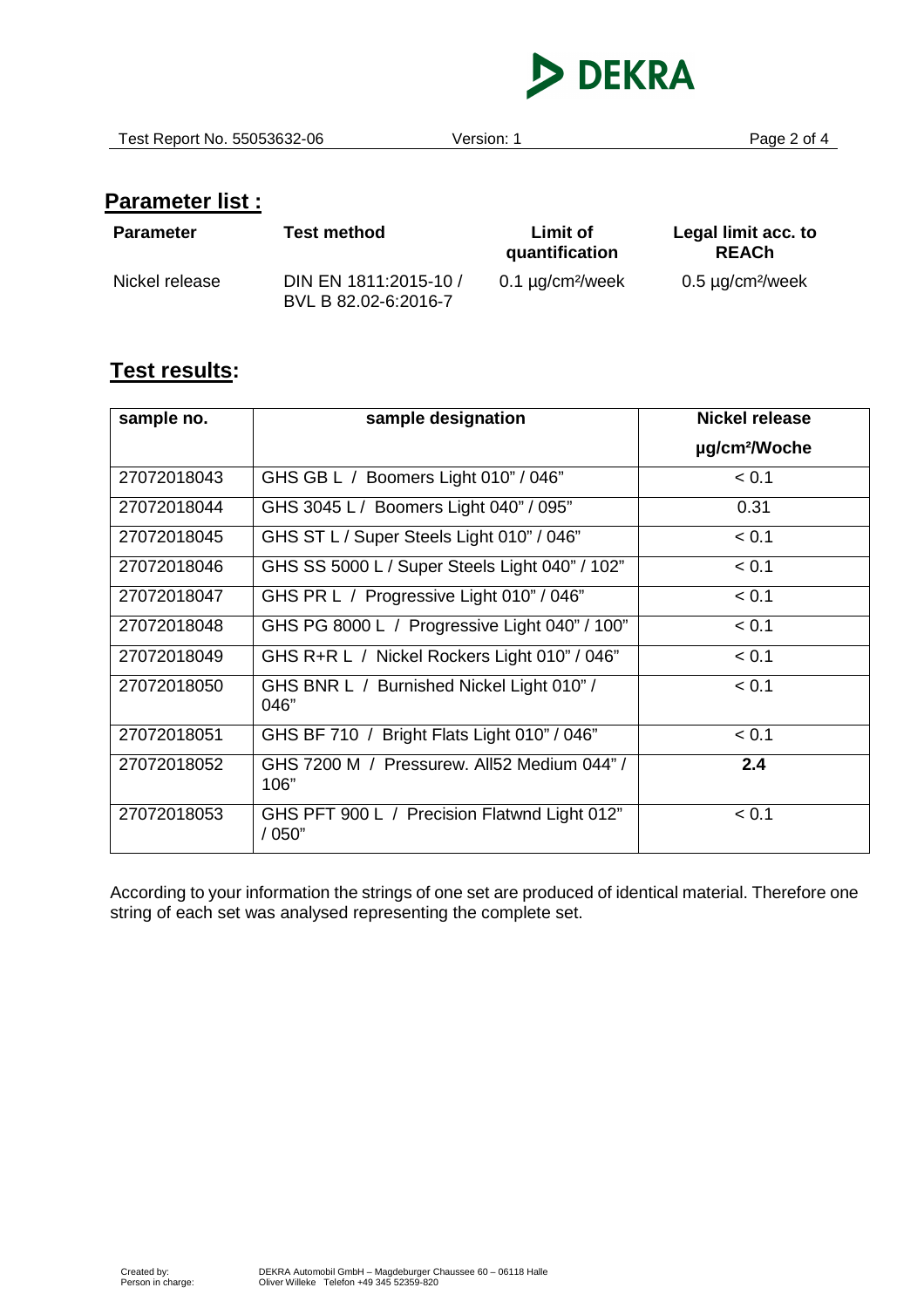

Test Report No. 55053632-06 Version: 1 Page 2 of 4

# **Parameter list :**

| <b>Parameter</b> | <b>Test method</b>                            | Limit of<br>quantification        | Legal limit acc. to<br><b>REACh</b> |
|------------------|-----------------------------------------------|-----------------------------------|-------------------------------------|
| Nickel release   | DIN EN 1811:2015-10 /<br>BVL B 82.02-6:2016-7 | 0.1 $\mu$ g/cm <sup>2</sup> /week | $0.5 \mu g/cm^2$ /week              |

## **Test results:**

| sample no.  | sample designation                                     | <b>Nickel release</b>     |
|-------------|--------------------------------------------------------|---------------------------|
|             |                                                        | µg/cm <sup>2</sup> /Woche |
| 27072018043 | GHS GB L / Boomers Light 010" / 046"                   | < 0.1                     |
| 27072018044 | GHS 3045 L / Boomers Light 040" / 095"                 | 0.31                      |
| 27072018045 | GHS ST L / Super Steels Light 010" / 046"              | < 0.1                     |
| 27072018046 | GHS SS 5000 L / Super Steels Light 040" / 102"         | < 0.1                     |
| 27072018047 | GHS PR L / Progressive Light 010" / 046"               | < 0.1                     |
| 27072018048 | GHS PG 8000 L / Progressive Light 040" / 100"          | < 0.1                     |
| 27072018049 | GHS R+R L / Nickel Rockers Light 010" / 046"           | < 0.1                     |
| 27072018050 | GHS BNR L / Burnished Nickel Light 010" /<br>046"      | < 0.1                     |
| 27072018051 | GHS BF 710 / Bright Flats Light 010" / 046"            | < 0.1                     |
| 27072018052 | GHS 7200 M / Pressurew. All52 Medium 044"/<br>106"     | 2.4                       |
| 27072018053 | GHS PFT 900 L / Precision Flatwnd Light 012"<br>/ 050" | < 0.1                     |

According to your information the strings of one set are produced of identical material. Therefore one string of each set was analysed representing the complete set.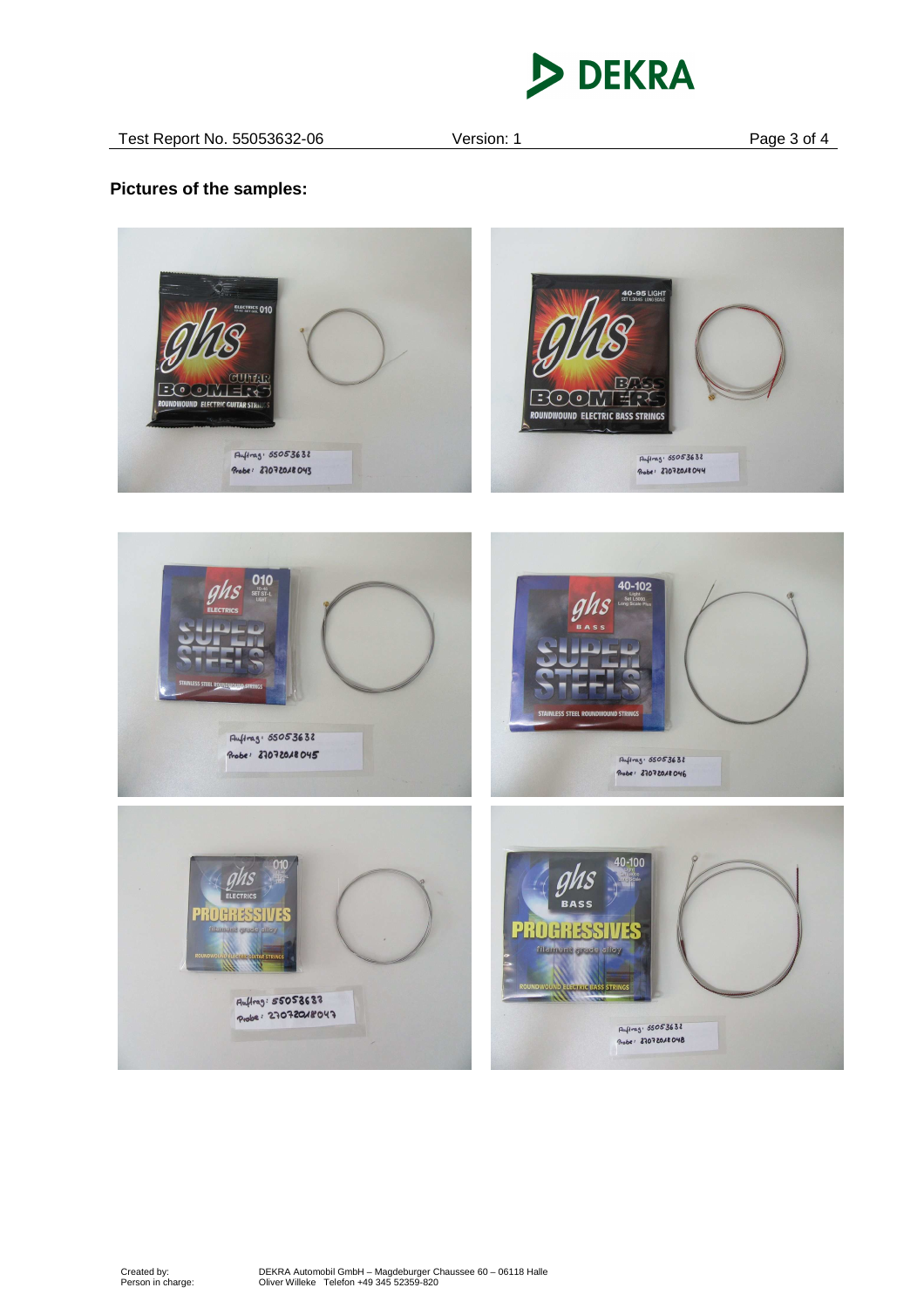

### **Pictures of the samples:**